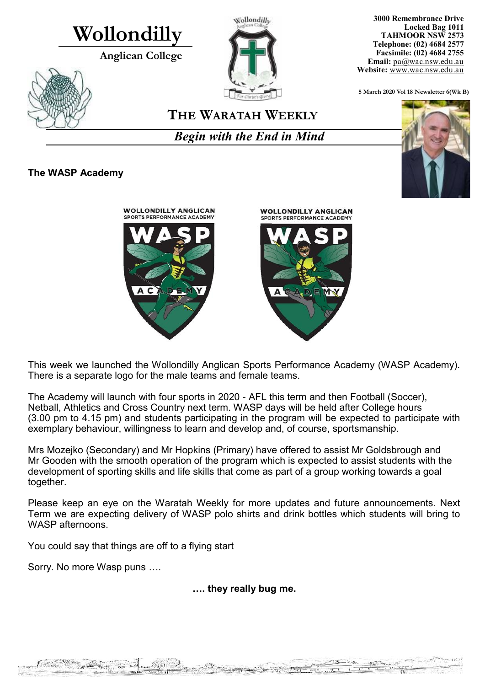# **Wollondilly**

**Anglican College** 



**3000 Remembrance Drive Locked Bag 1011 TAHMOOR NSW 2573 Telephone: (02) 4684 2577 Facsimile: (02) 4684 2755 Email:** [pa@wac.nsw.edu.au](mailto:pa@wac.nsw.edu.au) **Website:** www.wac.nsw.edu.au

**5 March 2020 Vol 18 Newsletter 6(Wk B)** 

## **THE WARATAH WEEKLY**

*Begin with the End in Mind*

## **The WASP Academy**



This week we launched the Wollondilly Anglican Sports Performance Academy (WASP Academy). There is a separate logo for the male teams and female teams.

The Academy will launch with four sports in 2020 - AFL this term and then Football (Soccer), Netball, Athletics and Cross Country next term. WASP days will be held after College hours (3.00 pm to 4.15 pm) and students participating in the program will be expected to participate with exemplary behaviour, willingness to learn and develop and, of course, sportsmanship.

Mrs Mozejko (Secondary) and Mr Hopkins (Primary) have offered to assist Mr Goldsbrough and Mr Gooden with the smooth operation of the program which is expected to assist students with the development of sporting skills and life skills that come as part of a group working towards a goal together.

Please keep an eye on the Waratah Weekly for more updates and future announcements. Next Term we are expecting delivery of WASP polo shirts and drink bottles which students will bring to WASP afternoons.

You could say that things are off to a flying start

 $\chi_{\rm BH} = 2$ 

Sorry. No more Wasp puns ….

W. Sambar

**Carlotte** 

**…. they really bug me.**

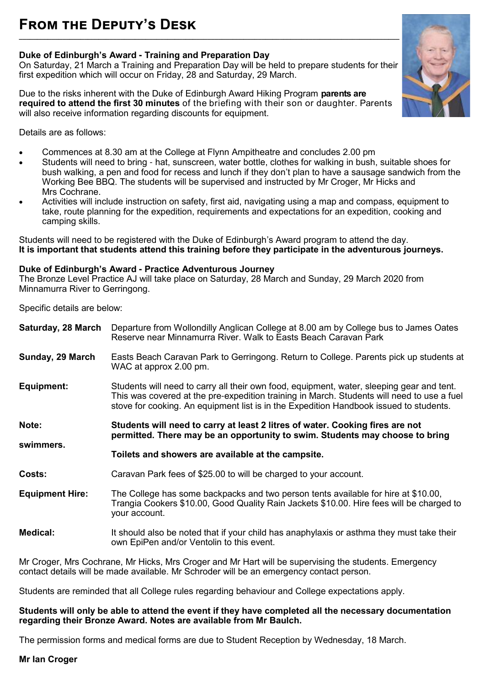### **Duke of Edinburgh's Award - Training and Preparation Day**

On Saturday, 21 March a Training and Preparation Day will be held to prepare students for their first expedition which will occur on Friday, 28 and Saturday, 29 March.

Due to the risks inherent with the Duke of Edinburgh Award Hiking Program **parents are required to attend the first 30 minutes** of the briefing with their son or daughter. Parents will also receive information regarding discounts for equipment.



Details are as follows:

- Commences at 8.30 am at the College at Flynn Ampitheatre and concludes 2.00 pm
- Students will need to bring hat, sunscreen, water bottle, clothes for walking in bush, suitable shoes for bush walking, a pen and food for recess and lunch if they don't plan to have a sausage sandwich from the Working Bee BBQ. The students will be supervised and instructed by Mr Croger, Mr Hicks and Mrs Cochrane.
- Activities will include instruction on safety, first aid, navigating using a map and compass, equipment to take, route planning for the expedition, requirements and expectations for an expedition, cooking and camping skills.

Students will need to be registered with the Duke of Edinburgh's Award program to attend the day. **It is important that students attend this training before they participate in the adventurous journeys.** 

#### **Duke of Edinburgh's Award - Practice Adventurous Journey**

The Bronze Level Practice AJ will take place on Saturday, 28 March and Sunday, 29 March 2020 from Minnamurra River to Gerringong.

Specific details are below:

| Saturday, 28 March     | Departure from Wollondilly Anglican College at 8.00 am by College bus to James Oates<br>Reserve near Minnamurra River. Walk to Easts Beach Caravan Park                                                                                                                           |
|------------------------|-----------------------------------------------------------------------------------------------------------------------------------------------------------------------------------------------------------------------------------------------------------------------------------|
| Sunday, 29 March       | Easts Beach Caravan Park to Gerringong. Return to College. Parents pick up students at<br>WAC at approx 2.00 pm.                                                                                                                                                                  |
| Equipment:             | Students will need to carry all their own food, equipment, water, sleeping gear and tent.<br>This was covered at the pre-expedition training in March. Students will need to use a fuel<br>stove for cooking. An equipment list is in the Expedition Handbook issued to students. |
| Note:<br>swimmers.     | Students will need to carry at least 2 litres of water. Cooking fires are not<br>permitted. There may be an opportunity to swim. Students may choose to bring                                                                                                                     |
|                        | Toilets and showers are available at the campsite.                                                                                                                                                                                                                                |
| Costs:                 | Caravan Park fees of \$25.00 to will be charged to your account.                                                                                                                                                                                                                  |
| <b>Equipment Hire:</b> | The College has some backpacks and two person tents available for hire at \$10.00,                                                                                                                                                                                                |
|                        | Trangia Cookers \$10.00, Good Quality Rain Jackets \$10.00. Hire fees will be charged to<br>your account.                                                                                                                                                                         |

Mr Croger, Mrs Cochrane, Mr Hicks, Mrs Croger and Mr Hart will be supervising the students. Emergency contact details will be made available. Mr Schroder will be an emergency contact person.

Students are reminded that all College rules regarding behaviour and College expectations apply.

#### **Students will only be able to attend the event if they have completed all the necessary documentation regarding their Bronze Award. Notes are available from Mr Baulch.**

The permission forms and medical forms are due to Student Reception by Wednesday, 18 March.

#### **Mr Ian Croger**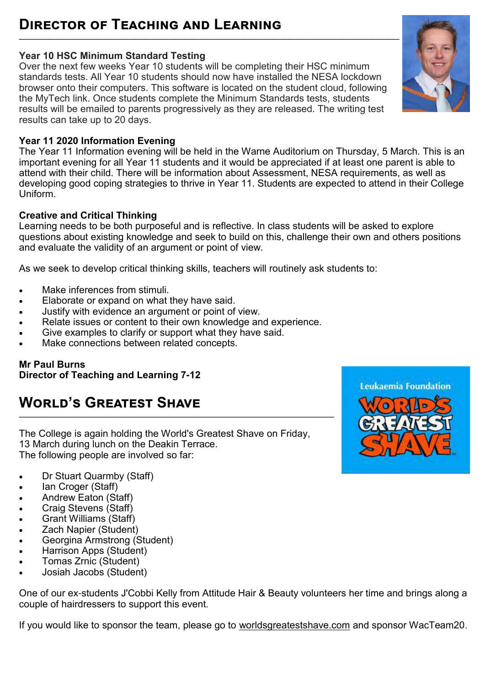### **Director of Teaching and Learning \_\_\_\_\_\_\_\_\_\_\_\_\_\_\_\_\_\_\_\_\_\_\_\_\_\_\_\_\_\_\_\_\_\_\_\_\_\_\_\_\_\_\_\_\_\_\_\_\_\_\_\_\_\_\_\_\_\_\_\_\_\_\_\_\_\_\_\_\_\_\_\_\_\_\_\_\_\_\_\_\_\_\_\_\_\_\_\_\_\_\_\_\_\_\_\_\_\_\_\_\_\_\_\_\_**

## **Year 10 HSC Minimum Standard Testing**

Over the next few weeks Year 10 students will be completing their HSC minimum standards tests. All Year 10 students should now have installed the NESA lockdown browser onto their computers. This software is located on the student cloud, following the MyTech link. Once students complete the Minimum Standards tests, students results will be emailed to parents progressively as they are released. The writing test results can take up to 20 days.

## **Year 11 2020 Information Evening**

The Year 11 Information evening will be held in the Warne Auditorium on Thursday, 5 March. This is an important evening for all Year 11 students and it would be appreciated if at least one parent is able to attend with their child. There will be information about Assessment, NESA requirements, as well as developing good coping strategies to thrive in Year 11. Students are expected to attend in their College Uniform.

## **Creative and Critical Thinking**

Learning needs to be both purposeful and is reflective. In class students will be asked to explore questions about existing knowledge and seek to build on this, challenge their own and others positions and evaluate the validity of an argument or point of view.

As we seek to develop critical thinking skills, teachers will routinely ask students to:

- Make inferences from stimuli.
- Elaborate or expand on what they have said.
- Justify with evidence an argument or point of view.
- Relate issues or content to their own knowledge and experience.
- Give examples to clarify or support what they have said.
- Make connections between related concepts.

**Mr Paul Burns Director of Teaching and Learning 7-12**

## **World's Greatest Shave \_\_\_\_\_\_\_\_\_\_\_\_\_\_\_\_\_\_\_\_\_\_\_\_\_\_\_\_\_\_\_\_\_\_\_\_\_\_\_\_\_\_\_\_\_\_\_\_\_\_\_\_\_\_\_\_\_\_\_\_\_\_\_\_\_\_\_\_\_\_\_\_\_\_\_\_\_\_\_\_\_\_\_\_\_\_\_**

The College is again holding the World's Greatest Shave on Friday, 13 March during lunch on the Deakin Terrace. The following people are involved so far:

- Dr Stuart Quarmby (Staff)
- Ian Croger (Staff)
- Andrew Eaton (Staff)
- Craig Stevens (Staff)
- Grant Williams (Staff)
- Zach Napier (Student)
- Georgina Armstrong (Student)
- Harrison Apps (Student)
- Tomas Zrnic (Student)
- Josiah Jacobs (Student)

One of our ex-students J'Cobbi Kelly from Attitude Hair & Beauty volunteers her time and brings along a couple of hairdressers to support this event.

If you would like to sponsor the team, please go to [worldsgreatestshave.com](http://worldsgreatestshave.com/) and sponsor WacTeam20.



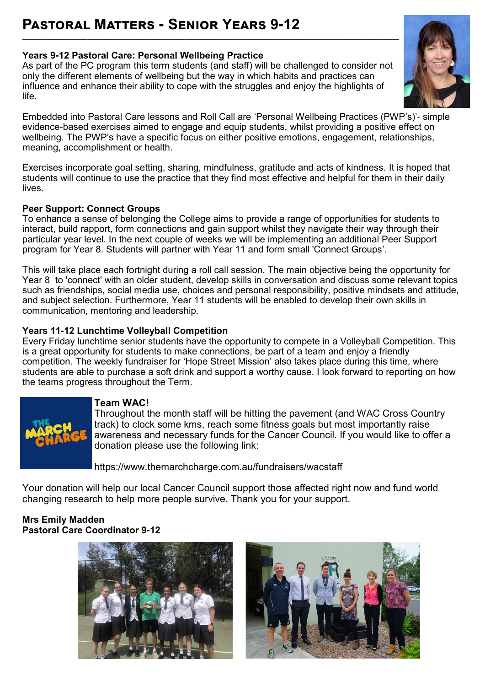#### **Years 9-12 Pastoral Care: Personal Wellbeing Practice**

As part of the PC program this term students (and staff) will be challenged to consider not only the different elements of wellbeing but the way in which habits and practices can influence and enhance their ability to cope with the struggles and enjoy the highlights of life.

**\_\_\_\_\_\_\_\_\_\_\_\_\_\_\_\_\_\_\_\_\_\_\_\_\_\_\_\_\_\_\_\_\_\_\_\_\_\_\_\_\_\_\_\_\_\_\_\_\_\_\_\_\_\_\_\_\_\_\_\_\_\_\_\_\_\_\_\_\_\_\_\_\_\_\_\_\_\_\_\_\_\_\_\_\_\_\_\_\_\_\_\_\_\_\_\_\_\_\_\_\_\_\_\_**



Exercises incorporate goal setting, sharing, mindfulness, gratitude and acts of kindness. It is hoped that students will continue to use the practice that they find most effective and helpful for them in their daily lives.

#### **Peer Support: Connect Groups**

To enhance a sense of belonging the College aims to provide a range of opportunities for students to interact, build rapport, form connections and gain support whilst they navigate their way through their particular year level. In the next couple of weeks we will be implementing an additional Peer Support program for Year 8. Students will partner with Year 11 and form small 'Connect Groups'.

This will take place each fortnight during a roll call session. The main objective being the opportunity for Year 8 to 'connect' with an older student, develop skills in conversation and discuss some relevant topics such as friendships, social media use, choices and personal responsibility, positive mindsets and attitude, and subject selection. Furthermore, Year 11 students will be enabled to develop their own skills in communication, mentoring and leadership.

#### **Years 11-12 Lunchtime Volleyball Competition**

Every Friday lunchtime senior students have the opportunity to compete in a Volleyball Competition. This is a great opportunity for students to make connections, be part of a team and enjoy a friendly competition. The weekly fundraiser for 'Hope Street Mission' also takes place during this time, where students are able to purchase a soft drink and support a worthy cause. I look forward to reporting on how the teams progress throughout the Term.



#### **Team WAC!**

Throughout the month staff will be hitting the pavement (and WAC Cross Country track) to clock some kms, reach some fitness goals but most importantly raise awareness and necessary funds for the Cancer Council. If you would like to offer a donation please use the following link:

<https://www.themarchcharge.com.au/fundraisers/wacstaff>

Your donation will help our local Cancer Council support those affected right now and fund world changing research to help more people survive. Thank you for your support.

#### **Mrs Emily Madden Pastoral Care Coordinator 9-12**





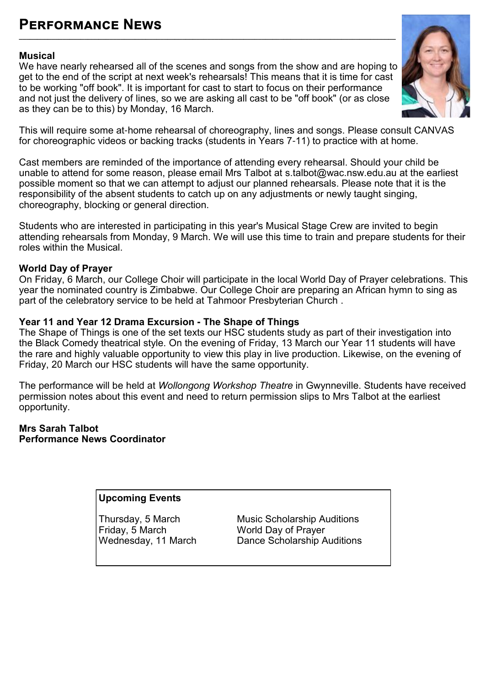## **Performance News**

#### **Musical**

We have nearly rehearsed all of the scenes and songs from the show and are hoping to get to the end of the script at next week's rehearsals! This means that it is time for cast to be working "off book". It is important for cast to start to focus on their performance and not just the delivery of lines, so we are asking all cast to be "off book" (or as close as they can be to this) by Monday, 16 March.

**\_\_\_\_\_\_\_\_\_\_\_\_\_\_\_\_\_\_\_\_\_\_\_\_\_\_\_\_\_\_\_\_\_\_\_\_\_\_\_\_\_\_\_\_\_\_\_\_\_\_\_\_\_\_\_\_\_\_\_\_\_\_\_\_\_\_\_\_\_\_\_\_\_\_\_\_\_\_\_\_\_\_\_\_\_\_\_\_\_\_\_\_\_\_\_\_\_\_\_\_\_\_\_\_**



This will require some at-home rehearsal of choreography, lines and songs. Please consult CANVAS for choreographic videos or backing tracks (students in Years 7-11) to practice with at home.

Cast members are reminded of the importance of attending every rehearsal. Should your child be unable to attend for some reason, please email Mrs Talbot at s.talbot@wac.nsw.edu.au at the earliest possible moment so that we can attempt to adjust our planned rehearsals. Please note that it is the responsibility of the absent students to catch up on any adjustments or newly taught singing, choreography, blocking or general direction.

Students who are interested in participating in this year's Musical Stage Crew are invited to begin attending rehearsals from Monday, 9 March. We will use this time to train and prepare students for their roles within the Musical.

#### **World Day of Prayer**

On Friday, 6 March, our College Choir will participate in the local World Day of Prayer celebrations. This year the nominated country is Zimbabwe. Our College Choir are preparing an African hymn to sing as part of the celebratory service to be held at Tahmoor Presbyterian Church .

#### **Year 11 and Year 12 Drama Excursion - The Shape of Things**

The Shape of Things is one of the set texts our HSC students study as part of their investigation into the Black Comedy theatrical style. On the evening of Friday, 13 March our Year 11 students will have the rare and highly valuable opportunity to view this play in live production. Likewise, on the evening of Friday, 20 March our HSC students will have the same opportunity.

The performance will be held at *Wollongong Workshop Theatre* in Gwynneville. Students have received permission notes about this event and need to return permission slips to Mrs Talbot at the earliest opportunity.

#### **Mrs Sarah Talbot Performance News Coordinator**

#### **Upcoming Events**

Friday, 5 March World Day of Prayer<br>Wednesday. 11 March Dance Scholarship A

Thursday, 5 March Music Scholarship Auditions<br>Friday, 5 March Music Norld Day of Prayer Dance Scholarship Auditions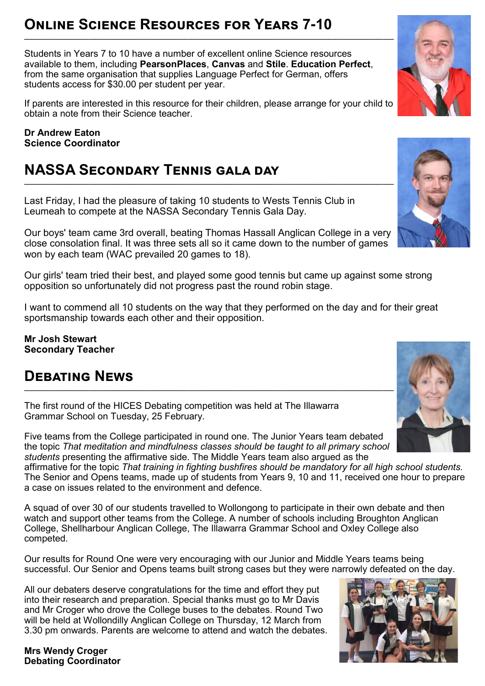## **Online Science Resources for Years 7-10 \_\_\_\_\_\_\_\_\_\_\_\_\_\_\_\_\_\_\_\_\_\_\_\_\_\_\_\_\_\_\_\_\_\_\_\_\_\_\_\_\_\_\_\_\_\_\_\_\_\_\_\_\_\_\_\_\_\_\_\_\_\_\_\_\_\_\_\_\_\_\_\_\_\_\_\_\_\_\_\_\_\_\_\_\_\_\_\_\_\_\_\_\_\_\_\_\_\_\_\_\_\_**

Students in Years 7 to 10 have a number of excellent online Science resources available to them, including **PearsonPlaces**, **Canvas** and **Stile**. **Education Perfect**, from the same organisation that supplies Language Perfect for German, offers students access for \$30.00 per student per year.

If parents are interested in this resource for their children, please arrange for your child to obtain a note from their Science teacher.

**Dr Andrew Eaton Science Coordinator** 

## **NASSA Secondary Tennis gala day**

Last Friday, I had the pleasure of taking 10 students to Wests Tennis Club in Leumeah to compete at the NASSA Secondary Tennis Gala Day.

Our boys' team came 3rd overall, beating Thomas Hassall Anglican College in a very close consolation final. It was three sets all so it came down to the number of games won by each team (WAC prevailed 20 games to 18).

**\_\_\_\_\_\_\_\_\_\_\_\_\_\_\_\_\_\_\_\_\_\_\_\_\_\_\_\_\_\_\_\_\_\_\_\_\_\_\_\_\_\_\_\_\_\_\_\_\_\_\_\_\_\_\_\_\_\_\_\_\_\_\_\_\_\_\_\_\_\_\_\_\_\_\_\_\_\_\_\_\_\_\_\_\_\_\_\_\_\_\_\_\_\_\_\_\_\_\_\_\_\_**

Our girls' team tried their best, and played some good tennis but came up against some strong opposition so unfortunately did not progress past the round robin stage.

I want to commend all 10 students on the way that they performed on the day and for their great sportsmanship towards each other and their opposition.

**Mr Josh Stewart Secondary Teacher**

## **Debating News**

The first round of the HICES Debating competition was held at The Illawarra Grammar School on Tuesday, 25 February.

Five teams from the College participated in round one. The Junior Years team debated the topic *That meditation and mindfulness classes should be taught to all primary school students* presenting the affirmative side. The Middle Years team also argued as the

affirmative for the topic *That training in fighting bushfires should be mandatory for all high school students.* The Senior and Opens teams, made up of students from Years 9, 10 and 11, received one hour to prepare a case on issues related to the environment and defence.

A squad of over 30 of our students travelled to Wollongong to participate in their own debate and then watch and support other teams from the College. A number of schools including Broughton Anglican College, Shellharbour Anglican College, The Illawarra Grammar School and Oxley College also competed.

Our results for Round One were very encouraging with our Junior and Middle Years teams being successful. Our Senior and Opens teams built strong cases but they were narrowly defeated on the day.

All our debaters deserve congratulations for the time and effort they put into their research and preparation. Special thanks must go to Mr Davis and Mr Croger who drove the College buses to the debates. Round Two will be held at Wollondilly Anglican College on Thursday, 12 March from 3.30 pm onwards. Parents are welcome to attend and watch the debates.

**Mrs Wendy Croger Debating Coordinator** 







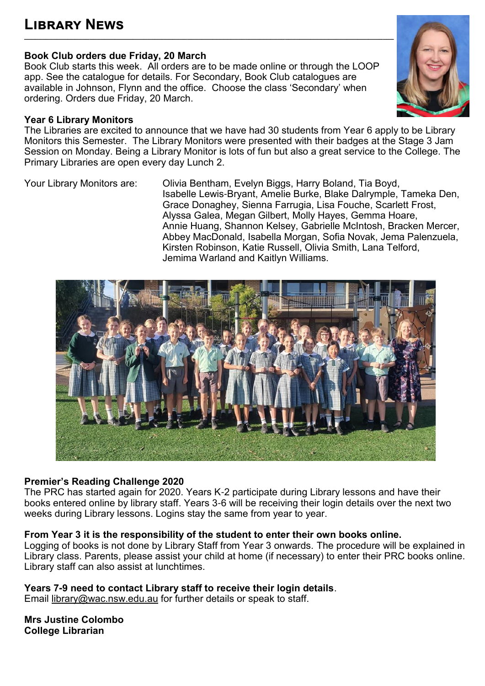### **Book Club orders due Friday, 20 March**

Book Club starts this week. All orders are to be made online or through the LOOP app. See the catalogue for details. For Secondary, Book Club catalogues are available in Johnson, Flynn and the office. Choose the class 'Secondary' when ordering. Orders due Friday, 20 March.

### **Year 6 Library Monitors**

The Libraries are excited to announce that we have had 30 students from Year 6 apply to be Library Monitors this Semester. The Library Monitors were presented with their badges at the Stage 3 Jam Session on Monday. Being a Library Monitor is lots of fun but also a great service to the College. The Primary Libraries are open every day Lunch 2.

Your Library Monitors are: Olivia Bentham, Evelyn Biggs, Harry Boland, Tia Boyd, Isabelle Lewis-Bryant, Amelie Burke, Blake Dalrymple, Tameka Den, Grace Donaghey, Sienna Farrugia, Lisa Fouche, Scarlett Frost, Alyssa Galea, Megan Gilbert, Molly Hayes, Gemma Hoare, Annie Huang, Shannon Kelsey, Gabrielle McIntosh, Bracken Mercer, Abbey MacDonald, Isabella Morgan, Sofia Novak, Jema Palenzuela, Kirsten Robinson, Katie Russell, Olivia Smith, Lana Telford, Jemima Warland and Kaitlyn Williams.



## **Premier's Reading Challenge 2020**

The PRC has started again for 2020. Years K-2 participate during Library lessons and have their books entered online by library staff. Years 3-6 will be receiving their login details over the next two weeks during Library lessons. Logins stay the same from year to year.

## **From Year 3 it is the responsibility of the student to enter their own books online.**

Logging of books is not done by Library Staff from Year 3 onwards. The procedure will be explained in Library class. Parents, please assist your child at home (if necessary) to enter their PRC books online. Library staff can also assist at lunchtimes.

**Years 7-9 need to contact Library staff to receive their login details**.

Email [library@wac.nsw.edu.au f](mailto:library@wac.nsw.edu.au)or further details or speak to staff.

**Mrs Justine Colombo College Librarian**

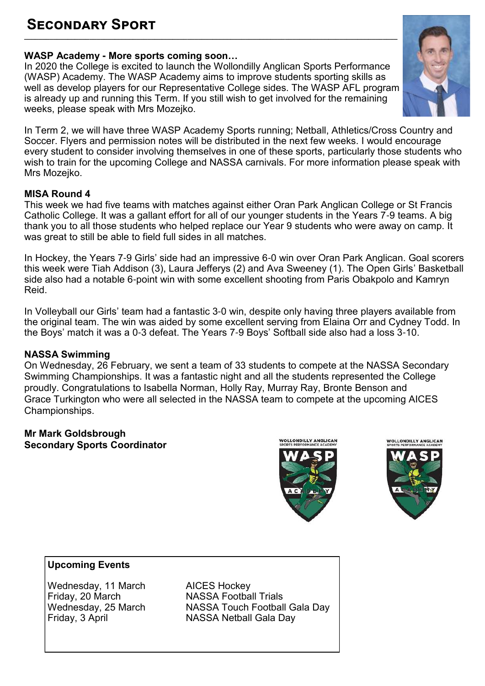### **Secondary Sport \_\_\_\_\_\_\_\_\_\_\_\_\_\_\_\_\_\_\_\_\_\_\_\_\_\_\_\_\_\_\_\_\_\_\_\_\_\_\_\_\_\_\_\_\_\_\_\_\_\_\_\_\_\_\_\_\_\_\_\_\_\_\_\_\_\_\_\_\_\_\_\_\_\_\_\_\_\_\_\_\_\_\_\_\_\_\_\_\_\_\_\_\_\_\_\_\_\_\_\_\_\_\_**

## **WASP Academy - More sports coming soon…**

In 2020 the College is excited to launch the Wollondilly Anglican Sports Performance (WASP) Academy. The WASP Academy aims to improve students sporting skills as well as develop players for our Representative College sides. The WASP AFL program is already up and running this Term. If you still wish to get involved for the remaining weeks, please speak with Mrs Mozejko.



In Term 2, we will have three WASP Academy Sports running; Netball, Athletics/Cross Country and Soccer. Flyers and permission notes will be distributed in the next few weeks. I would encourage every student to consider involving themselves in one of these sports, particularly those students who wish to train for the upcoming College and NASSA carnivals. For more information please speak with Mrs Mozejko.

### **MISA Round 4**

This week we had five teams with matches against either Oran Park Anglican College or St Francis Catholic College. It was a gallant effort for all of our younger students in the Years 7-9 teams. A big thank you to all those students who helped replace our Year 9 students who were away on camp. It was great to still be able to field full sides in all matches.

In Hockey, the Years 7-9 Girls' side had an impressive 6-0 win over Oran Park Anglican. Goal scorers this week were Tiah Addison (3), Laura Jefferys (2) and Ava Sweeney (1). The Open Girls' Basketball side also had a notable 6-point win with some excellent shooting from Paris Obakpolo and Kamryn Reid.

In Volleyball our Girls' team had a fantastic 3-0 win, despite only having three players available from the original team. The win was aided by some excellent serving from Elaina Orr and Cydney Todd. In the Boys' match it was a 0-3 defeat. The Years 7-9 Boys' Softball side also had a loss 3-10.

#### **NASSA Swimming**

On Wednesday, 26 February, we sent a team of 33 students to compete at the NASSA Secondary Swimming Championships. It was a fantastic night and all the students represented the College proudly. Congratulations to Isabella Norman, Holly Ray, Murray Ray, Bronte Benson and Grace Turkington who were all selected in the NASSA team to compete at the upcoming AICES Championships.

#### **Mr Mark Goldsbrough Secondary Sports Coordinator**





## **Upcoming Events**

Wednesday, 11 March AICES Hockey<br>Friday, 20 March NASSA Footba

**NASSA Football Trials** Wednesday, 25 March NASSA Touch Football Gala Day Friday, 3 April NASSA Netball Gala Day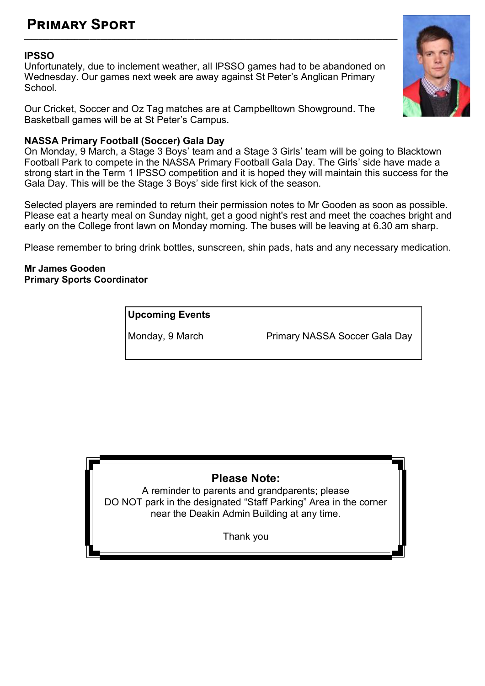### **Primary Sport \_\_\_\_\_\_\_\_\_\_\_\_\_\_\_\_\_\_\_\_\_\_\_\_\_\_\_\_\_\_\_\_\_\_\_\_\_\_\_\_\_\_\_\_\_\_\_\_\_\_\_\_\_\_\_\_\_\_\_\_\_\_\_\_\_\_\_\_\_\_\_\_\_\_\_\_\_\_\_\_\_\_\_\_\_\_\_\_\_\_\_\_\_\_\_\_\_\_\_\_\_\_\_**

#### **IPSSO**

Unfortunately, due to inclement weather, all IPSSO games had to be abandoned on Wednesday. Our games next week are away against St Peter's Anglican Primary School.

Our Cricket, Soccer and Oz Tag matches are at Campbelltown Showground. The Basketball games will be at St Peter's Campus.

#### **NASSA Primary Football (Soccer) Gala Day**

On Monday, 9 March, a Stage 3 Boys' team and a Stage 3 Girls' team will be going to Blacktown Football Park to compete in the NASSA Primary Football Gala Day. The Girls' side have made a strong start in the Term 1 IPSSO competition and it is hoped they will maintain this success for the Gala Day. This will be the Stage 3 Boys' side first kick of the season.

Selected players are reminded to return their permission notes to Mr Gooden as soon as possible. Please eat a hearty meal on Sunday night, get a good night's rest and meet the coaches bright and early on the College front lawn on Monday morning. The buses will be leaving at 6.30 am sharp.

Please remember to bring drink bottles, sunscreen, shin pads, hats and any necessary medication.

#### **Mr James Gooden Primary Sports Coordinator**

**Upcoming Events**

Monday, 9 March Primary NASSA Soccer Gala Day

## **Please Note:**

A reminder to parents and grandparents; please DO NOT park in the designated "Staff Parking" Area in the corner near the Deakin Admin Building at any time.

Thank you

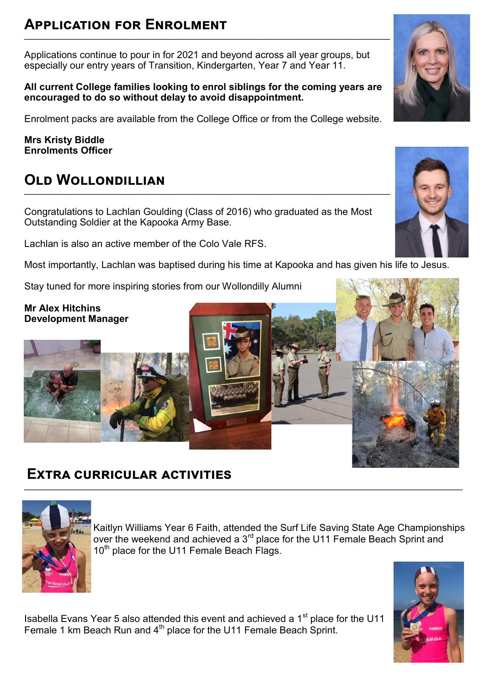### **Application for Enrolment \_\_\_\_\_\_\_\_\_\_\_\_\_\_\_\_\_\_\_\_\_\_\_\_\_\_\_\_\_\_\_\_\_\_\_\_\_\_\_\_\_\_\_\_\_\_\_\_\_\_\_\_\_\_\_\_\_\_\_\_\_\_\_\_\_\_\_\_\_\_\_\_\_\_\_\_\_\_\_\_\_\_\_\_\_\_\_\_\_\_\_\_\_\_\_\_\_\_\_\_\_**

Applications continue to pour in for 2021 and beyond across all year groups, but especially our entry years of Transition, Kindergarten, Year 7 and Year 11.

**All current College families looking to enrol siblings for the coming years are encouraged to do so without delay to avoid disappointment.** 

Enrolment packs are available from the College Office or from the College website.

**Mrs Kristy Biddle Enrolments Officer**

## **Old Wollondillian**

Congratulations to Lachlan Goulding (Class of 2016) who graduated as the Most Outstanding Soldier at the Kapooka Army Base.

**\_\_\_\_\_\_\_\_\_\_\_\_\_\_\_\_\_\_\_\_\_\_\_\_\_\_\_\_\_\_\_\_\_\_\_\_\_\_\_\_\_\_\_\_\_\_\_\_\_\_\_\_\_\_\_\_\_\_\_\_\_\_\_\_\_\_\_\_\_\_\_\_\_\_\_\_\_\_\_\_\_\_\_\_\_\_\_\_\_\_\_\_\_\_\_\_\_\_\_\_\_**

Lachlan is also an active member of the Colo Vale RFS.

Most importantly, Lachlan was baptised during his time at Kapooka and has given his life to Jesus.

Stay tuned for more inspiring stories from our Wollondilly Alumni

#### **Mr Alex Hitchins Development Manager**

## **Extra curricular activities**



Kaitlyn Williams Year 6 Faith, attended the Surf Life Saving State Age Championships over the weekend and achieved a 3<sup>rd</sup> place for the U11 Female Beach Sprint and 10<sup>th</sup> place for the U11 Female Beach Flags.

Isabella Evans Year 5 also attended this event and achieved a 1<sup>st</sup> place for the U11 Female 1 km Beach Run and 4<sup>th</sup> place for the U11 Female Beach Sprint.







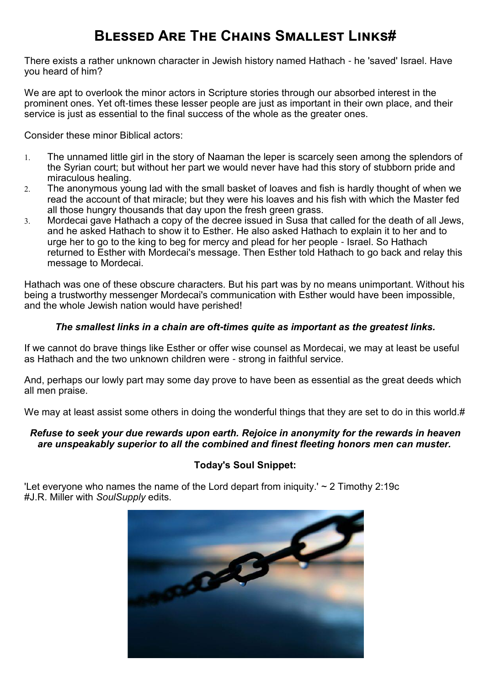## **Blessed Are The Chains Smallest Links#**

There exists a rather unknown character in Jewish history named Hathach - he 'saved' Israel. Have you heard of him?

We are apt to overlook the minor actors in Scripture stories through our absorbed interest in the prominent ones. Yet oft-times these lesser people are just as important in their own place, and their service is just as essential to the final success of the whole as the greater ones.

Consider these minor Biblical actors:

- [The unnamed little girl in the story of Naaman the leper](https://soulsupply.us12.list-manage.com/track/click?u=9c42ae84e8999efca37b252ef&id=d243ac0044&e=9d98f173b7) is scarcely seen among the splendors of the Syrian court; but without her part we would never have had this story of stubborn pride and miraculous healing.
- 2. [The anonymous young lad with the small basket of loaves and fish](https://soulsupply.us12.list-manage.com/track/click?u=9c42ae84e8999efca37b252ef&id=2fb96192f1&e=9d98f173b7) is hardly thought of when we read the account of that miracle; but they were his loaves and his fish with which the Master fed all those hungry thousands that day upon the fresh green grass.
- [Mordecai gave Hathach a copy of the decree issued in Susa](https://soulsupply.us12.list-manage.com/track/click?u=9c42ae84e8999efca37b252ef&id=7b0a7e921b&e=9d98f173b7) that called for the death of all Jews, and he asked Hathach to show it to Esther. He also asked Hathach to explain it to her and to urge her to go to the king to beg for mercy and plead for her people - Israel. So Hathach returned to Esther with Mordecai's message. Then Esther told Hathach to go back and relay this message to Mordecai.

Hathach was one of these obscure characters. But his part was by no means unimportant. Without his being a trustworthy messenger Mordecai's communication with Esther would have been impossible, and the whole Jewish nation would have perished!

#### *The smallest links in a chain are oft-times quite as important as the greatest links.*

If we cannot do brave things like Esther or offer wise counsel as Mordecai, we may at least be useful as Hathach and the two unknown children were - strong in faithful service.

And, perhaps our lowly part may some day prove to have been as essential as the great deeds which all men praise.

We may at least assist some others in doing the wonderful things that they are set to do in this world.#

#### *Refuse to seek your due rewards upon earth. Rejoice in anonymity for the rewards in heaven are unspeakably superior to all the combined and finest fleeting honors men can muster.*

#### **Today's Soul Snippet:**

'Let everyone who names the name of the Lord depart from iniquity.'  $\sim$  2 Timothy 2:19c #[J.R. Miller](https://soulsupply.us12.list-manage.com/track/click?u=9c42ae84e8999efca37b252ef&id=d2237fd0a8&e=9d98f173b7) with *SoulSupply* edits.

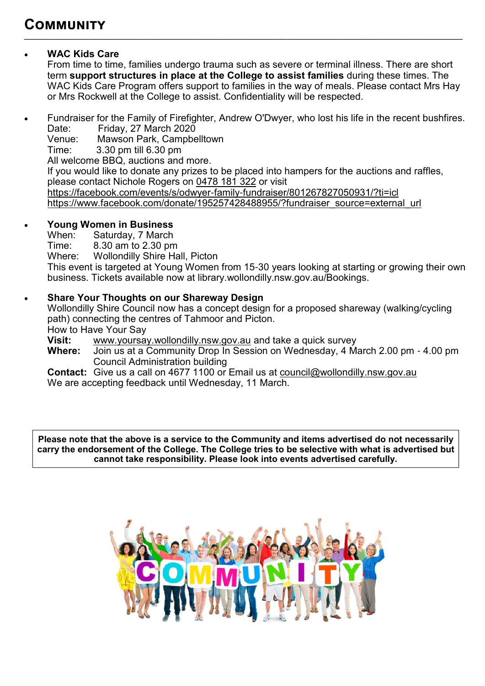## **Community**

## **WAC Kids Care**

From time to time, families undergo trauma such as severe or terminal illness. There are short term **support structures in place at the College to assist families** during these times. The WAC Kids Care Program offers support to families in the way of meals. Please contact Mrs Hay or Mrs Rockwell at the College to assist. Confidentiality will be respected.

 Fundraiser for the Family of Firefighter, Andrew O'Dwyer, who lost his life in the recent bushfires. Date: Friday, 27 March 2020<br>Venue: Mawson Park, Campbe

**\_\_\_\_\_\_\_\_\_\_\_\_\_\_\_\_\_\_\_\_\_\_\_\_\_\_\_\_\_\_\_\_\_\_\_\_\_\_\_\_\_\_\_\_\_\_\_\_\_\_\_\_\_\_\_\_\_\_\_\_\_\_\_\_\_\_\_\_\_\_\_\_\_\_\_\_\_\_\_\_\_\_\_\_\_\_\_\_\_\_\_\_\_\_\_\_\_\_\_\_\_\_\_\_\_\_\_\_\_\_\_\_\_\_\_\_\_\_\_\_\_**

Venue: Mawson Park, Campbelltown<br>Time: 3.30 pm till 6.30 pm

3.30 pm till 6.30 pm

All welcome BBQ, auctions and more.

If you would like to donate any prizes to be placed into hampers for the auctions and raffles, please contact Nichole Rogers on [0478 181 322](tel:0478181322) or visit

[https://facebook.com/events/s/odwyer](https://facebook.com/events/s/odwyer-family-fundraiser/801267827050931/?ti=icl)-family-fundraiser/801267827050931/?ti=icl [https://www.facebook.com/donate/195257428488955/?fundraiser\\_source=external\\_url](https://www.facebook.com/donate/195257428488955/?fundraiser_source=external_url)

## **Young Women in Business**

When: Saturday, 7 March<br>Time: 8.30 am to 2.30 pm

 $8.30$  am to 2.30 pm

Where: Wollondilly Shire Hall, Picton

This event is targeted at Young Women from 15-30 years looking at starting or growing their own business. Tickets available now at library.wollondilly.nsw.gov.au/Bookings.

### **Share Your Thoughts on our Shareway Design**

Wollondilly Shire Council now has a concept design for a proposed shareway (walking/cycling path) connecting the centres of Tahmoor and Picton.

How to Have Your Say

**Visit:** [www.yoursay.wollondilly.nsw.gov.au](http://www.yoursay.wollondilly.nsw.gov.au/) and take a quick survey

**Where:** Join us at a Community Drop In Session on Wednesday, 4 March 2.00 pm - 4.00 pm Council Administration building

**Contact:** Give us a call on 4677 1100 or Email us at [council@wollondilly.nsw.gov.au](mailto:council@wollondilly.nsw.gov.au) We are accepting feedback until Wednesday, 11 March.

**Please note that the above is a service to the Community and items advertised do not necessarily carry the endorsement of the College. The College tries to be selective with what is advertised but cannot take responsibility. Please look into events advertised carefully.**

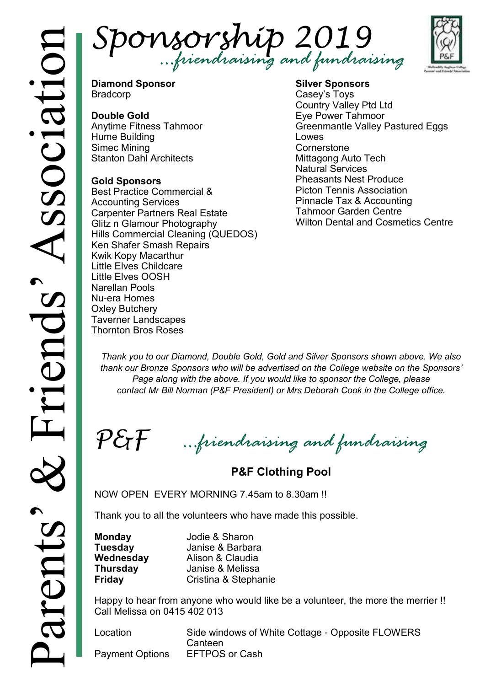



**Diamond Sponsor** Bradcorp

### **Double Gold**

Anytime Fitness Tahmoor Hume Building Simec Mining Stanton Dahl Architects

#### **Gold Sponsors**

Best Practice Commercial & Accounting Services Carpenter Partners Real Estate Glitz n Glamour Photography Hills Commercial Cleaning (QUEDOS) Ken Shafer Smash Repairs Kwik Kopy Macarthur Little Elves Childcare Little Elves OOSH Narellan Pools Nu-era Homes Oxley Butchery Taverner Landscapes Thornton Bros Roses

#### **Silver Sponsors** Casey's Toys Country Valley Ptd Ltd Eye Power Tahmoor Greenmantle Valley Pastured Eggs Lowes **Cornerstone** Mittagong Auto Tech Natural Services Pheasants Nest Produce Picton Tennis Association Pinnacle Tax & Accounting Tahmoor Garden Centre Wilton Dental and Cosmetics Centre

*Thank you to our Diamond, Double Gold, Gold and Silver Sponsors shown above. We also thank our Bronze Sponsors who will be advertised on the College website on the Sponsors' Page along with the above. If you would like to sponsor the College, please contact Mr Bill Norman (P&F President) or Mrs Deborah Cook in the College office.*

 $P \mathcal{E}$ F *…friendraising and fundraising*

**P&F Clothing Pool** 

NOW OPEN EVERY MORNING 7.45am to 8.30am !!

Thank you to all the volunteers who have made this possible.

**Monday** Jodie & Sharon<br> **Tuesdav** Janise & Barbar **Tuesday** Janise & Barbara **Wednesday** Alison & Claudia **Thursday** Janise & Melissa **Friday** Cristina & Stephanie

Happy to hear from anyone who would like be a volunteer, the more the merrier !! Call Melissa on 0415 402 013

Location Side windows of White Cottage - Opposite FLOWERS **Canteen** Payment Options EFTPOS or Cash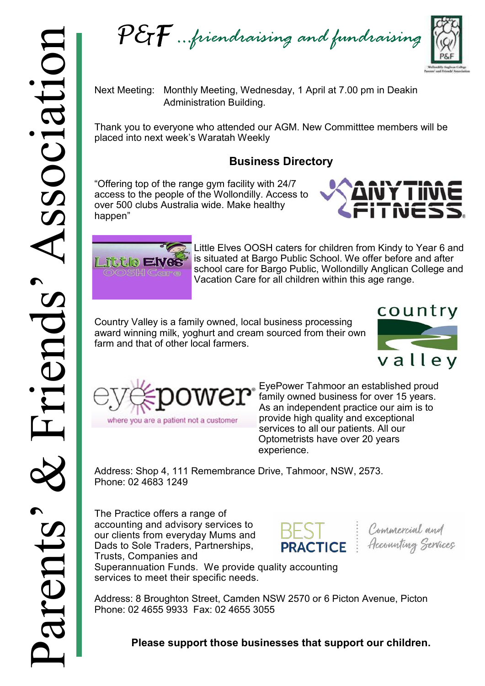

Next Meeting: Monthly Meeting, Wednesday, 1 April at 7.00 pm in Deakin Administration Building.

Thank you to everyone who attended our AGM. New Committtee members will be placed into next week's Waratah Weekly

## **Business Directory**

"Offering top of the range gym facility with 24/7 access to the people of the Wollondilly. Access to over 500 clubs Australia wide. Make healthy happen"





Little Elves OOSH caters for children from Kindy to Year 6 and is situated at Bargo Public School. We offer before and after school care for Bargo Public, Wollondilly Anglican College and Vacation Care for all children within this age range.

Country Valley is a family owned, local business processing award winning milk, yoghurt and cream sourced from their own farm and that of other local farmers.





EyePower Tahmoor an established proud family owned business for over 15 years. As an independent practice our aim is to provide high quality and exceptional services to all our patients. All our Optometrists have over 20 years experience.

Address: Shop 4, 111 Remembrance Drive, Tahmoor, NSW, 2573. Phone: 02 4683 1249

The Practice offers a range of accounting and advisory services to our clients from everyday Mums and Dads to Sole Traders, Partnerships, Trusts, Companies and



Commercial and **PRACTICE**: Accounting Services

Superannuation Funds. We provide quality accounting services to meet their specific needs.

Address: 8 Broughton Street, Camden NSW 2570 or 6 Picton Avenue, Picton Phone: 02 4655 9933 Fax: 02 4655 3055

## **Please support those businesses that support our children.**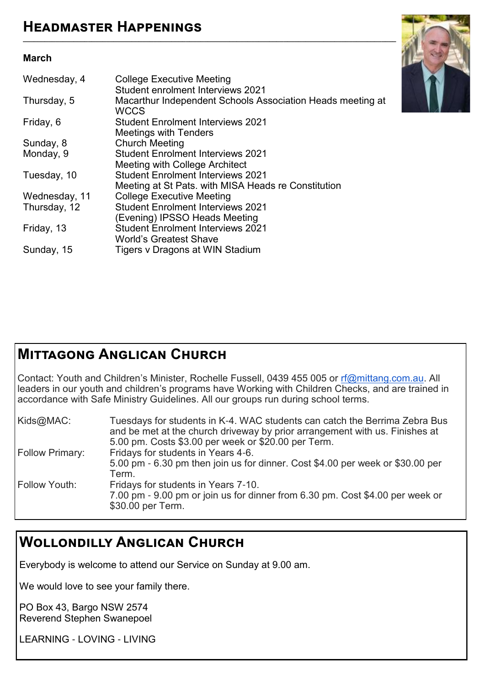## **Headmaster Happenings**

#### **March**

| <b>College Executive Meeting</b><br><b>Student enrolment Interviews 2021</b> |
|------------------------------------------------------------------------------|
| Macarthur Independent Schools Association Heads meeting at<br><b>WCCS</b>    |
| <b>Student Enrolment Interviews 2021</b><br><b>Meetings with Tenders</b>     |
| <b>Church Meeting</b>                                                        |
| <b>Student Enrolment Interviews 2021</b>                                     |
| Meeting with College Architect                                               |
| <b>Student Enrolment Interviews 2021</b>                                     |
| Meeting at St Pats. with MISA Heads re Constitution                          |
| <b>College Executive Meeting</b>                                             |
| <b>Student Enrolment Interviews 2021</b>                                     |
| (Evening) IPSSO Heads Meeting                                                |
| <b>Student Enrolment Interviews 2021</b>                                     |
| <b>World's Greatest Shave</b>                                                |
| Tigers v Dragons at WIN Stadium                                              |
|                                                                              |



## **Mittagong Anglican Church**

Contact: Youth and Children's Minister, Rochelle Fussell, 0439 455 005 or [rf@mittang.com.au.](mailto:rf@mittang.com.au) All leaders in our youth and children's programs have Working with Children Checks, and are trained in accordance with Safe Ministry Guidelines. All our groups run during school terms.

| Kids@MAC:              | Tuesdays for students in K-4. WAC students can catch the Berrima Zebra Bus<br>and be met at the church driveway by prior arrangement with us. Finishes at<br>5.00 pm. Costs \$3.00 per week or \$20.00 per Term. |
|------------------------|------------------------------------------------------------------------------------------------------------------------------------------------------------------------------------------------------------------|
| <b>Follow Primary:</b> | Fridays for students in Years 4-6.<br>5.00 pm - 6.30 pm then join us for dinner. Cost \$4.00 per week or \$30.00 per<br>Term.                                                                                    |
| Follow Youth:          | Fridays for students in Years 7-10.<br>7.00 pm - 9.00 pm or join us for dinner from 6.30 pm. Cost \$4.00 per week or<br>\$30.00 per Term.                                                                        |

## **Wollondilly Anglican Church**

Everybody is welcome to attend our Service on Sunday at 9.00 am.

We would love to see your family there.

PO Box 43, Bargo NSW 2574 Reverend Stephen Swanepoel

LEARNING - LOVING - LIVING